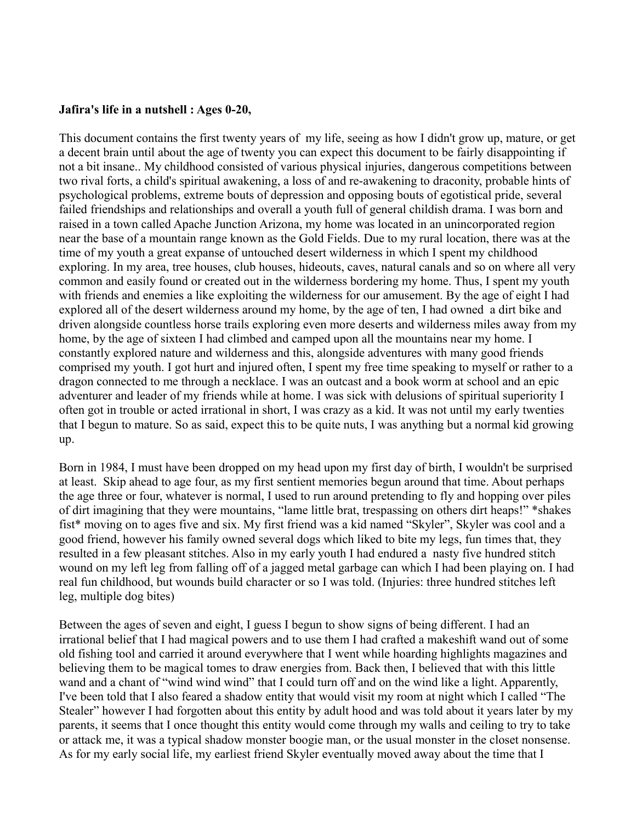## **Jafira's life in a nutshell : Ages 0-20,**

This document contains the first twenty years of my life, seeing as how I didn't grow up, mature, or get a decent brain until about the age of twenty you can expect this document to be fairly disappointing if not a bit insane.. My childhood consisted of various physical injuries, dangerous competitions between two rival forts, a child's spiritual awakening, a loss of and re-awakening to draconity, probable hints of psychological problems, extreme bouts of depression and opposing bouts of egotistical pride, several failed friendships and relationships and overall a youth full of general childish drama. I was born and raised in a town called Apache Junction Arizona, my home was located in an unincorporated region near the base of a mountain range known as the Gold Fields. Due to my rural location, there was at the time of my youth a great expanse of untouched desert wilderness in which I spent my childhood exploring. In my area, tree houses, club houses, hideouts, caves, natural canals and so on where all very common and easily found or created out in the wilderness bordering my home. Thus, I spent my youth with friends and enemies a like exploiting the wilderness for our amusement. By the age of eight I had explored all of the desert wilderness around my home, by the age of ten, I had owned a dirt bike and driven alongside countless horse trails exploring even more deserts and wilderness miles away from my home, by the age of sixteen I had climbed and camped upon all the mountains near my home. I constantly explored nature and wilderness and this, alongside adventures with many good friends comprised my youth. I got hurt and injured often, I spent my free time speaking to myself or rather to a dragon connected to me through a necklace. I was an outcast and a book worm at school and an epic adventurer and leader of my friends while at home. I was sick with delusions of spiritual superiority I often got in trouble or acted irrational in short, I was crazy as a kid. It was not until my early twenties that I begun to mature. So as said, expect this to be quite nuts, I was anything but a normal kid growing up.

Born in 1984, I must have been dropped on my head upon my first day of birth, I wouldn't be surprised at least. Skip ahead to age four, as my first sentient memories begun around that time. About perhaps the age three or four, whatever is normal, I used to run around pretending to fly and hopping over piles of dirt imagining that they were mountains, "lame little brat, trespassing on others dirt heaps!" \*shakes fist\* moving on to ages five and six. My first friend was a kid named "Skyler", Skyler was cool and a good friend, however his family owned several dogs which liked to bite my legs, fun times that, they resulted in a few pleasant stitches. Also in my early youth I had endured a nasty five hundred stitch wound on my left leg from falling off of a jagged metal garbage can which I had been playing on. I had real fun childhood, but wounds build character or so I was told. (Injuries: three hundred stitches left leg, multiple dog bites)

Between the ages of seven and eight, I guess I begun to show signs of being different. I had an irrational belief that I had magical powers and to use them I had crafted a makeshift wand out of some old fishing tool and carried it around everywhere that I went while hoarding highlights magazines and believing them to be magical tomes to draw energies from. Back then, I believed that with this little wand and a chant of "wind wind wind" that I could turn off and on the wind like a light. Apparently, I've been told that I also feared a shadow entity that would visit my room at night which I called "The Stealer" however I had forgotten about this entity by adult hood and was told about it years later by my parents, it seems that I once thought this entity would come through my walls and ceiling to try to take or attack me, it was a typical shadow monster boogie man, or the usual monster in the closet nonsense. As for my early social life, my earliest friend Skyler eventually moved away about the time that I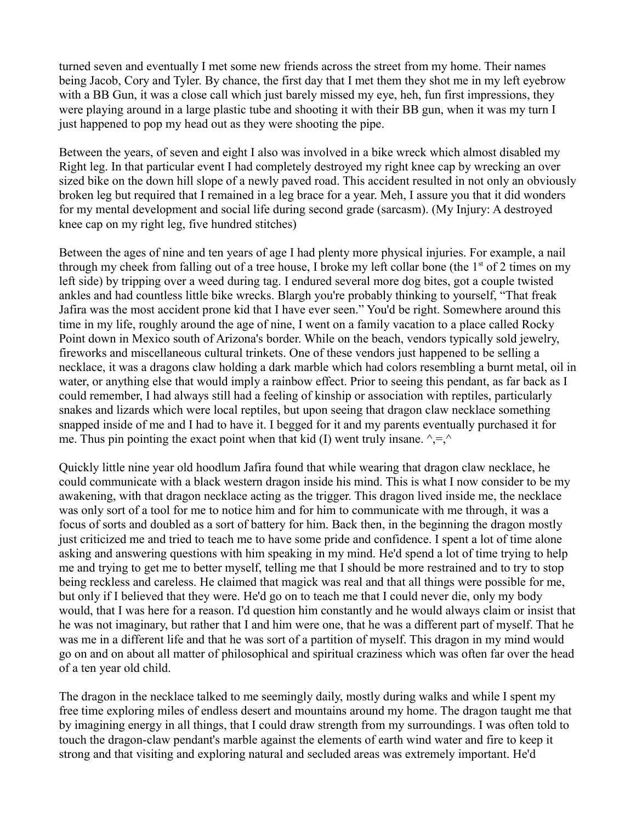turned seven and eventually I met some new friends across the street from my home. Their names being Jacob, Cory and Tyler. By chance, the first day that I met them they shot me in my left eyebrow with a BB Gun, it was a close call which just barely missed my eye, heh, fun first impressions, they were playing around in a large plastic tube and shooting it with their BB gun, when it was my turn I just happened to pop my head out as they were shooting the pipe.

Between the years, of seven and eight I also was involved in a bike wreck which almost disabled my Right leg. In that particular event I had completely destroyed my right knee cap by wrecking an over sized bike on the down hill slope of a newly paved road. This accident resulted in not only an obviously broken leg but required that I remained in a leg brace for a year. Meh, I assure you that it did wonders for my mental development and social life during second grade (sarcasm). (My Injury: A destroyed knee cap on my right leg, five hundred stitches)

Between the ages of nine and ten years of age I had plenty more physical injuries. For example, a nail through my cheek from falling out of a tree house, I broke my left collar bone (the  $1<sup>st</sup>$  of 2 times on my left side) by tripping over a weed during tag. I endured several more dog bites, got a couple twisted ankles and had countless little bike wrecks. Blargh you're probably thinking to yourself, "That freak Jafira was the most accident prone kid that I have ever seen." You'd be right. Somewhere around this time in my life, roughly around the age of nine, I went on a family vacation to a place called Rocky Point down in Mexico south of Arizona's border. While on the beach, vendors typically sold jewelry, fireworks and miscellaneous cultural trinkets. One of these vendors just happened to be selling a necklace, it was a dragons claw holding a dark marble which had colors resembling a burnt metal, oil in water, or anything else that would imply a rainbow effect. Prior to seeing this pendant, as far back as I could remember, I had always still had a feeling of kinship or association with reptiles, particularly snakes and lizards which were local reptiles, but upon seeing that dragon claw necklace something snapped inside of me and I had to have it. I begged for it and my parents eventually purchased it for me. Thus pin pointing the exact point when that kid (I) went truly insane.  $\lambda = \lambda$ 

Quickly little nine year old hoodlum Jafira found that while wearing that dragon claw necklace, he could communicate with a black western dragon inside his mind. This is what I now consider to be my awakening, with that dragon necklace acting as the trigger. This dragon lived inside me, the necklace was only sort of a tool for me to notice him and for him to communicate with me through, it was a focus of sorts and doubled as a sort of battery for him. Back then, in the beginning the dragon mostly just criticized me and tried to teach me to have some pride and confidence. I spent a lot of time alone asking and answering questions with him speaking in my mind. He'd spend a lot of time trying to help me and trying to get me to better myself, telling me that I should be more restrained and to try to stop being reckless and careless. He claimed that magick was real and that all things were possible for me, but only if I believed that they were. He'd go on to teach me that I could never die, only my body would, that I was here for a reason. I'd question him constantly and he would always claim or insist that he was not imaginary, but rather that I and him were one, that he was a different part of myself. That he was me in a different life and that he was sort of a partition of myself. This dragon in my mind would go on and on about all matter of philosophical and spiritual craziness which was often far over the head of a ten year old child.

The dragon in the necklace talked to me seemingly daily, mostly during walks and while I spent my free time exploring miles of endless desert and mountains around my home. The dragon taught me that by imagining energy in all things, that I could draw strength from my surroundings. I was often told to touch the dragon-claw pendant's marble against the elements of earth wind water and fire to keep it strong and that visiting and exploring natural and secluded areas was extremely important. He'd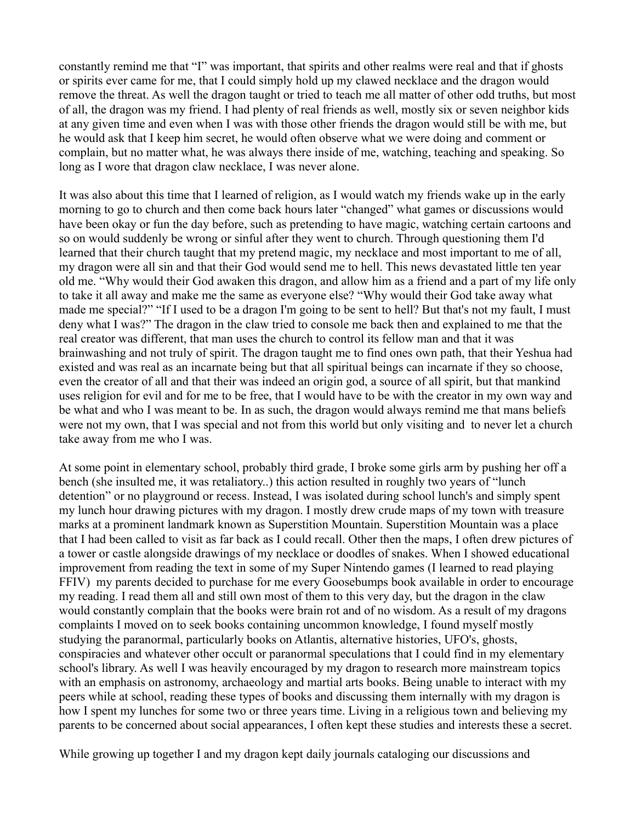constantly remind me that "I" was important, that spirits and other realms were real and that if ghosts or spirits ever came for me, that I could simply hold up my clawed necklace and the dragon would remove the threat. As well the dragon taught or tried to teach me all matter of other odd truths, but most of all, the dragon was my friend. I had plenty of real friends as well, mostly six or seven neighbor kids at any given time and even when I was with those other friends the dragon would still be with me, but he would ask that I keep him secret, he would often observe what we were doing and comment or complain, but no matter what, he was always there inside of me, watching, teaching and speaking. So long as I wore that dragon claw necklace, I was never alone.

It was also about this time that I learned of religion, as I would watch my friends wake up in the early morning to go to church and then come back hours later "changed" what games or discussions would have been okay or fun the day before, such as pretending to have magic, watching certain cartoons and so on would suddenly be wrong or sinful after they went to church. Through questioning them I'd learned that their church taught that my pretend magic, my necklace and most important to me of all, my dragon were all sin and that their God would send me to hell. This news devastated little ten year old me. "Why would their God awaken this dragon, and allow him as a friend and a part of my life only to take it all away and make me the same as everyone else? "Why would their God take away what made me special?" "If I used to be a dragon I'm going to be sent to hell? But that's not my fault, I must deny what I was?" The dragon in the claw tried to console me back then and explained to me that the real creator was different, that man uses the church to control its fellow man and that it was brainwashing and not truly of spirit. The dragon taught me to find ones own path, that their Yeshua had existed and was real as an incarnate being but that all spiritual beings can incarnate if they so choose, even the creator of all and that their was indeed an origin god, a source of all spirit, but that mankind uses religion for evil and for me to be free, that I would have to be with the creator in my own way and be what and who I was meant to be. In as such, the dragon would always remind me that mans beliefs were not my own, that I was special and not from this world but only visiting and to never let a church take away from me who I was.

At some point in elementary school, probably third grade, I broke some girls arm by pushing her off a bench (she insulted me, it was retaliatory..) this action resulted in roughly two years of "lunch detention" or no playground or recess. Instead, I was isolated during school lunch's and simply spent my lunch hour drawing pictures with my dragon. I mostly drew crude maps of my town with treasure marks at a prominent landmark known as Superstition Mountain. Superstition Mountain was a place that I had been called to visit as far back as I could recall. Other then the maps, I often drew pictures of a tower or castle alongside drawings of my necklace or doodles of snakes. When I showed educational improvement from reading the text in some of my Super Nintendo games (I learned to read playing FFIV) my parents decided to purchase for me every Goosebumps book available in order to encourage my reading. I read them all and still own most of them to this very day, but the dragon in the claw would constantly complain that the books were brain rot and of no wisdom. As a result of my dragons complaints I moved on to seek books containing uncommon knowledge, I found myself mostly studying the paranormal, particularly books on Atlantis, alternative histories, UFO's, ghosts, conspiracies and whatever other occult or paranormal speculations that I could find in my elementary school's library. As well I was heavily encouraged by my dragon to research more mainstream topics with an emphasis on astronomy, archaeology and martial arts books. Being unable to interact with my peers while at school, reading these types of books and discussing them internally with my dragon is how I spent my lunches for some two or three years time. Living in a religious town and believing my parents to be concerned about social appearances, I often kept these studies and interests these a secret.

While growing up together I and my dragon kept daily journals cataloging our discussions and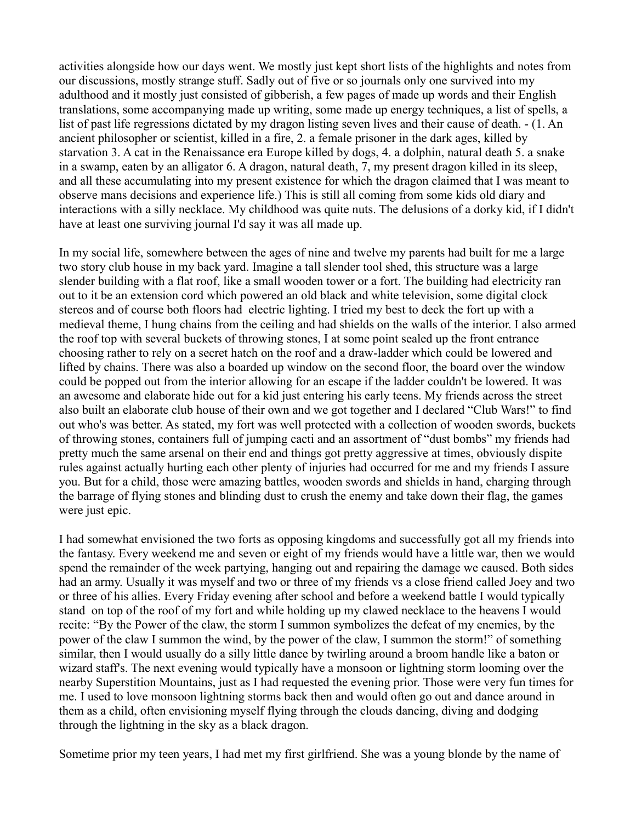activities alongside how our days went. We mostly just kept short lists of the highlights and notes from our discussions, mostly strange stuff. Sadly out of five or so journals only one survived into my adulthood and it mostly just consisted of gibberish, a few pages of made up words and their English translations, some accompanying made up writing, some made up energy techniques, a list of spells, a list of past life regressions dictated by my dragon listing seven lives and their cause of death. - (1. An ancient philosopher or scientist, killed in a fire, 2. a female prisoner in the dark ages, killed by starvation 3. A cat in the Renaissance era Europe killed by dogs, 4. a dolphin, natural death 5. a snake in a swamp, eaten by an alligator 6. A dragon, natural death, 7, my present dragon killed in its sleep, and all these accumulating into my present existence for which the dragon claimed that I was meant to observe mans decisions and experience life.) This is still all coming from some kids old diary and interactions with a silly necklace. My childhood was quite nuts. The delusions of a dorky kid, if I didn't have at least one surviving journal I'd say it was all made up.

In my social life, somewhere between the ages of nine and twelve my parents had built for me a large two story club house in my back yard. Imagine a tall slender tool shed, this structure was a large slender building with a flat roof, like a small wooden tower or a fort. The building had electricity ran out to it be an extension cord which powered an old black and white television, some digital clock stereos and of course both floors had electric lighting. I tried my best to deck the fort up with a medieval theme, I hung chains from the ceiling and had shields on the walls of the interior. I also armed the roof top with several buckets of throwing stones, I at some point sealed up the front entrance choosing rather to rely on a secret hatch on the roof and a draw-ladder which could be lowered and lifted by chains. There was also a boarded up window on the second floor, the board over the window could be popped out from the interior allowing for an escape if the ladder couldn't be lowered. It was an awesome and elaborate hide out for a kid just entering his early teens. My friends across the street also built an elaborate club house of their own and we got together and I declared "Club Wars!" to find out who's was better. As stated, my fort was well protected with a collection of wooden swords, buckets of throwing stones, containers full of jumping cacti and an assortment of "dust bombs" my friends had pretty much the same arsenal on their end and things got pretty aggressive at times, obviously dispite rules against actually hurting each other plenty of injuries had occurred for me and my friends I assure you. But for a child, those were amazing battles, wooden swords and shields in hand, charging through the barrage of flying stones and blinding dust to crush the enemy and take down their flag, the games were just epic.

I had somewhat envisioned the two forts as opposing kingdoms and successfully got all my friends into the fantasy. Every weekend me and seven or eight of my friends would have a little war, then we would spend the remainder of the week partying, hanging out and repairing the damage we caused. Both sides had an army. Usually it was myself and two or three of my friends vs a close friend called Joey and two or three of his allies. Every Friday evening after school and before a weekend battle I would typically stand on top of the roof of my fort and while holding up my clawed necklace to the heavens I would recite: "By the Power of the claw, the storm I summon symbolizes the defeat of my enemies, by the power of the claw I summon the wind, by the power of the claw, I summon the storm!" of something similar, then I would usually do a silly little dance by twirling around a broom handle like a baton or wizard staff's. The next evening would typically have a monsoon or lightning storm looming over the nearby Superstition Mountains, just as I had requested the evening prior. Those were very fun times for me. I used to love monsoon lightning storms back then and would often go out and dance around in them as a child, often envisioning myself flying through the clouds dancing, diving and dodging through the lightning in the sky as a black dragon.

Sometime prior my teen years, I had met my first girlfriend. She was a young blonde by the name of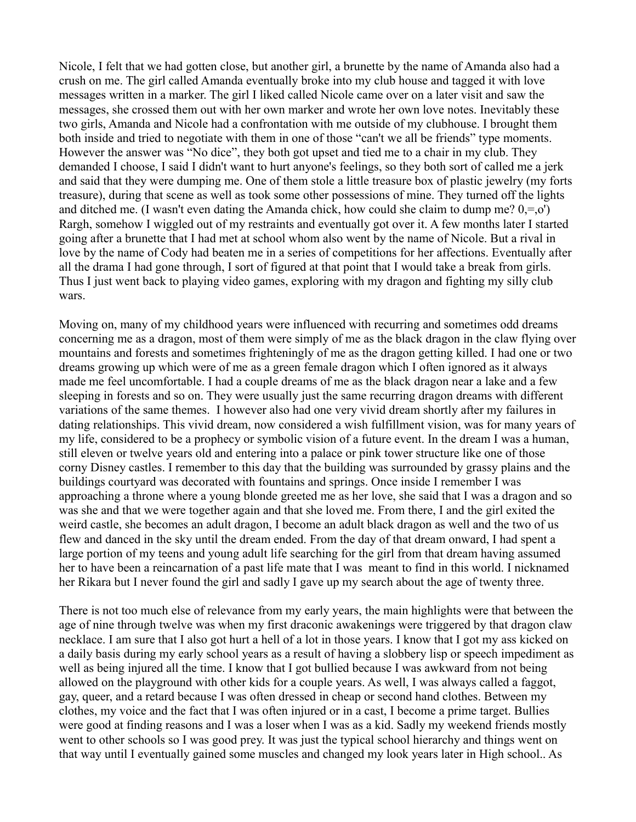Nicole, I felt that we had gotten close, but another girl, a brunette by the name of Amanda also had a crush on me. The girl called Amanda eventually broke into my club house and tagged it with love messages written in a marker. The girl I liked called Nicole came over on a later visit and saw the messages, she crossed them out with her own marker and wrote her own love notes. Inevitably these two girls, Amanda and Nicole had a confrontation with me outside of my clubhouse. I brought them both inside and tried to negotiate with them in one of those "can't we all be friends" type moments. However the answer was "No dice", they both got upset and tied me to a chair in my club. They demanded I choose, I said I didn't want to hurt anyone's feelings, so they both sort of called me a jerk and said that they were dumping me. One of them stole a little treasure box of plastic jewelry (my forts treasure), during that scene as well as took some other possessions of mine. They turned off the lights and ditched me. (I wasn't even dating the Amanda chick, how could she claim to dump me?  $0, =0$ ) Rargh, somehow I wiggled out of my restraints and eventually got over it. A few months later I started going after a brunette that I had met at school whom also went by the name of Nicole. But a rival in love by the name of Cody had beaten me in a series of competitions for her affections. Eventually after all the drama I had gone through, I sort of figured at that point that I would take a break from girls. Thus I just went back to playing video games, exploring with my dragon and fighting my silly club wars.

Moving on, many of my childhood years were influenced with recurring and sometimes odd dreams concerning me as a dragon, most of them were simply of me as the black dragon in the claw flying over mountains and forests and sometimes frighteningly of me as the dragon getting killed. I had one or two dreams growing up which were of me as a green female dragon which I often ignored as it always made me feel uncomfortable. I had a couple dreams of me as the black dragon near a lake and a few sleeping in forests and so on. They were usually just the same recurring dragon dreams with different variations of the same themes. I however also had one very vivid dream shortly after my failures in dating relationships. This vivid dream, now considered a wish fulfillment vision, was for many years of my life, considered to be a prophecy or symbolic vision of a future event. In the dream I was a human, still eleven or twelve years old and entering into a palace or pink tower structure like one of those corny Disney castles. I remember to this day that the building was surrounded by grassy plains and the buildings courtyard was decorated with fountains and springs. Once inside I remember I was approaching a throne where a young blonde greeted me as her love, she said that I was a dragon and so was she and that we were together again and that she loved me. From there, I and the girl exited the weird castle, she becomes an adult dragon, I become an adult black dragon as well and the two of us flew and danced in the sky until the dream ended. From the day of that dream onward, I had spent a large portion of my teens and young adult life searching for the girl from that dream having assumed her to have been a reincarnation of a past life mate that I was meant to find in this world. I nicknamed her Rikara but I never found the girl and sadly I gave up my search about the age of twenty three.

There is not too much else of relevance from my early years, the main highlights were that between the age of nine through twelve was when my first draconic awakenings were triggered by that dragon claw necklace. I am sure that I also got hurt a hell of a lot in those years. I know that I got my ass kicked on a daily basis during my early school years as a result of having a slobbery lisp or speech impediment as well as being injured all the time. I know that I got bullied because I was awkward from not being allowed on the playground with other kids for a couple years. As well, I was always called a faggot, gay, queer, and a retard because I was often dressed in cheap or second hand clothes. Between my clothes, my voice and the fact that I was often injured or in a cast, I become a prime target. Bullies were good at finding reasons and I was a loser when I was as a kid. Sadly my weekend friends mostly went to other schools so I was good prey. It was just the typical school hierarchy and things went on that way until I eventually gained some muscles and changed my look years later in High school.. As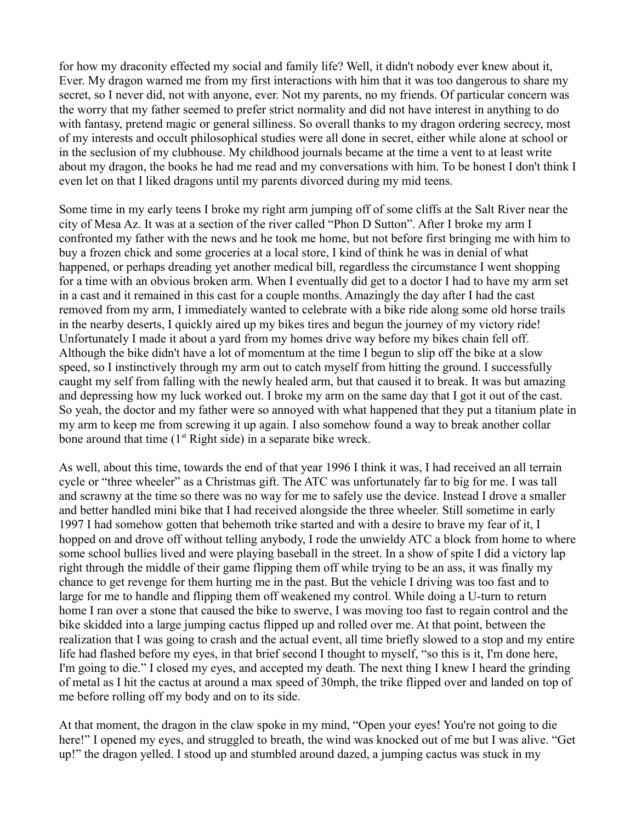for how my draconity effected my social and family life? Well, it didn't nobody ever knew about it, Ever. My dragon warned me from my first interactions with him that it was too dangerous to share my secret, so I never did, not with anyone, ever. Not my parents, no my friends. Of particular concern was the worry that my father seemed to prefer strict normality and did not have interest in anything to do with fantasy, pretend magic or general silliness. So overall thanks to my dragon ordering secrecy, most of my interests and occult philosophical studies were all done in secret, either while alone at school or in the seclusion of my clubhouse. My childhood journals became at the time a vent to at least write about my dragon, the books he had me read and my conversations with him. To be honest I don't think I even let on that I liked dragons until my parents divorced during my mid teens.

Some time in my early teens I broke my right arm jumping off of some cliffs at the Salt River near the city of Mesa Az. It was at a section of the river called "Phon D Sutton". After I broke my arm I confronted my father with the news and he took me home, but not before first bringing me with him to buy a frozen chick and some groceries at a local store, I kind of think he was in denial of what happened, or perhaps dreading yet another medical bill, regardless the circumstance I went shopping for a time with an obvious broken arm. When I eventually did get to a doctor I had to have my arm set in a cast and it remained in this cast for a couple months. Amazingly the day after I had the cast removed from my arm, I immediately wanted to celebrate with a bike ride along some old horse trails in the nearby deserts, I quickly aired up my bikes tires and begun the journey of my victory ride! Unfortunately I made it about a yard from my homes drive way before my bikes chain fell off. Although the bike didn't have a lot of momentum at the time I begun to slip off the bike at a slow speed, so I instinctively through my arm out to catch myself from hitting the ground. I successfully caught my self from falling with the newly healed arm, but that caused it to break. It was but amazing and depressing how my luck worked out. I broke my arm on the same day that I got it out of the cast. So yeah, the doctor and my father were so annoyed with what happened that they put a titanium plate in my arm to keep me from screwing it up again. I also somehow found a way to break another collar bone around that time  $(1<sup>st</sup>$  Right side) in a separate bike wreck.

As well, about this time, towards the end of that year 1996 I think it was, I had received an all terrain cycle or "three wheeler" as a Christmas gift. The ATC was unfortunately far to big for me. I was tall and scrawny at the time so there was no way for me to safely use the device. Instead I drove a smaller and better handled mini bike that I had received alongside the three wheeler. Still sometime in early 1997 I had somehow gotten that behemoth trike started and with a desire to brave my fear of it, I hopped on and drove off without telling anybody, I rode the unwieldy ATC a block from home to where some school bullies lived and were playing baseball in the street. In a show of spite I did a victory lap right through the middle of their game flipping them off while trying to be an ass, it was finally my chance to get revenge for them hurting me in the past. But the vehicle I driving was too fast and to large for me to handle and flipping them off weakened my control. While doing a U-turn to return home I ran over a stone that caused the bike to swerve, I was moving too fast to regain control and the bike skidded into a large jumping cactus flipped up and rolled over me. At that point, between the realization that I was going to crash and the actual event, all time briefly slowed to a stop and my entire life had flashed before my eyes, in that brief second I thought to myself, "so this is it, I'm done here, I'm going to die." I closed my eyes, and accepted my death. The next thing I knew I heard the grinding of metal as I hit the cactus at around a max speed of 30mph, the trike flipped over and landed on top of me before rolling off my body and on to its side.

At that moment, the dragon in the claw spoke in my mind, "Open your eyes! You're not going to die here!" I opened my eyes, and struggled to breath, the wind was knocked out of me but I was alive. "Get up!" the dragon yelled. I stood up and stumbled around dazed, a jumping cactus was stuck in my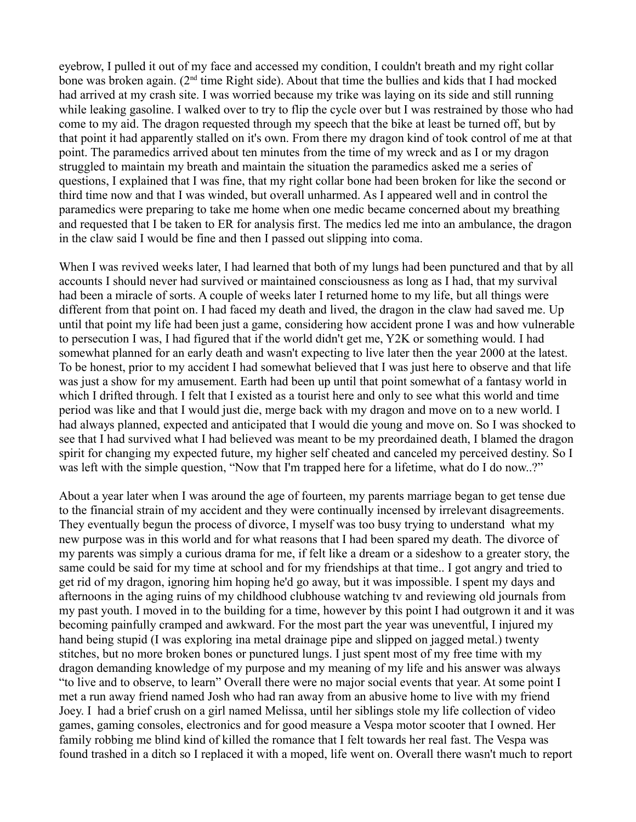eyebrow, I pulled it out of my face and accessed my condition, I couldn't breath and my right collar bone was broken again. (2<sup>nd</sup> time Right side). About that time the bullies and kids that I had mocked had arrived at my crash site. I was worried because my trike was laying on its side and still running while leaking gasoline. I walked over to try to flip the cycle over but I was restrained by those who had come to my aid. The dragon requested through my speech that the bike at least be turned off, but by that point it had apparently stalled on it's own. From there my dragon kind of took control of me at that point. The paramedics arrived about ten minutes from the time of my wreck and as I or my dragon struggled to maintain my breath and maintain the situation the paramedics asked me a series of questions, I explained that I was fine, that my right collar bone had been broken for like the second or third time now and that I was winded, but overall unharmed. As I appeared well and in control the paramedics were preparing to take me home when one medic became concerned about my breathing and requested that I be taken to ER for analysis first. The medics led me into an ambulance, the dragon in the claw said I would be fine and then I passed out slipping into coma.

When I was revived weeks later, I had learned that both of my lungs had been punctured and that by all accounts I should never had survived or maintained consciousness as long as I had, that my survival had been a miracle of sorts. A couple of weeks later I returned home to my life, but all things were different from that point on. I had faced my death and lived, the dragon in the claw had saved me. Up until that point my life had been just a game, considering how accident prone I was and how vulnerable to persecution I was, I had figured that if the world didn't get me, Y2K or something would. I had somewhat planned for an early death and wasn't expecting to live later then the year 2000 at the latest. To be honest, prior to my accident I had somewhat believed that I was just here to observe and that life was just a show for my amusement. Earth had been up until that point somewhat of a fantasy world in which I drifted through. I felt that I existed as a tourist here and only to see what this world and time period was like and that I would just die, merge back with my dragon and move on to a new world. I had always planned, expected and anticipated that I would die young and move on. So I was shocked to see that I had survived what I had believed was meant to be my preordained death, I blamed the dragon spirit for changing my expected future, my higher self cheated and canceled my perceived destiny. So I was left with the simple question, "Now that I'm trapped here for a lifetime, what do I do now..?"

About a year later when I was around the age of fourteen, my parents marriage began to get tense due to the financial strain of my accident and they were continually incensed by irrelevant disagreements. They eventually begun the process of divorce, I myself was too busy trying to understand what my new purpose was in this world and for what reasons that I had been spared my death. The divorce of my parents was simply a curious drama for me, if felt like a dream or a sideshow to a greater story, the same could be said for my time at school and for my friendships at that time.. I got angry and tried to get rid of my dragon, ignoring him hoping he'd go away, but it was impossible. I spent my days and afternoons in the aging ruins of my childhood clubhouse watching tv and reviewing old journals from my past youth. I moved in to the building for a time, however by this point I had outgrown it and it was becoming painfully cramped and awkward. For the most part the year was uneventful, I injured my hand being stupid (I was exploring ina metal drainage pipe and slipped on jagged metal.) twenty stitches, but no more broken bones or punctured lungs. I just spent most of my free time with my dragon demanding knowledge of my purpose and my meaning of my life and his answer was always "to live and to observe, to learn" Overall there were no major social events that year. At some point I met a run away friend named Josh who had ran away from an abusive home to live with my friend Joey. I had a brief crush on a girl named Melissa, until her siblings stole my life collection of video games, gaming consoles, electronics and for good measure a Vespa motor scooter that I owned. Her family robbing me blind kind of killed the romance that I felt towards her real fast. The Vespa was found trashed in a ditch so I replaced it with a moped, life went on. Overall there wasn't much to report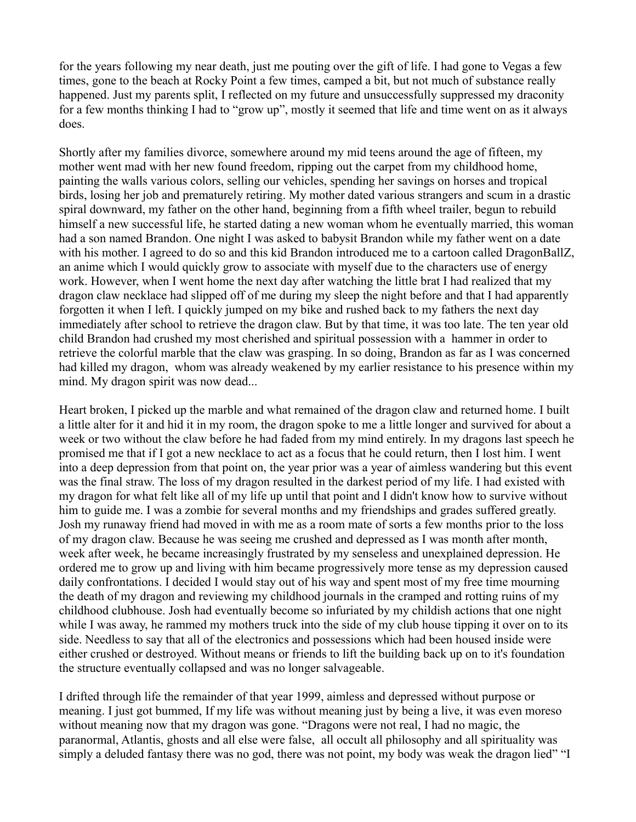for the years following my near death, just me pouting over the gift of life. I had gone to Vegas a few times, gone to the beach at Rocky Point a few times, camped a bit, but not much of substance really happened. Just my parents split, I reflected on my future and unsuccessfully suppressed my draconity for a few months thinking I had to "grow up", mostly it seemed that life and time went on as it always does.

Shortly after my families divorce, somewhere around my mid teens around the age of fifteen, my mother went mad with her new found freedom, ripping out the carpet from my childhood home, painting the walls various colors, selling our vehicles, spending her savings on horses and tropical birds, losing her job and prematurely retiring. My mother dated various strangers and scum in a drastic spiral downward, my father on the other hand, beginning from a fifth wheel trailer, begun to rebuild himself a new successful life, he started dating a new woman whom he eventually married, this woman had a son named Brandon. One night I was asked to babysit Brandon while my father went on a date with his mother. I agreed to do so and this kid Brandon introduced me to a cartoon called DragonBallZ, an anime which I would quickly grow to associate with myself due to the characters use of energy work. However, when I went home the next day after watching the little brat I had realized that my dragon claw necklace had slipped off of me during my sleep the night before and that I had apparently forgotten it when I left. I quickly jumped on my bike and rushed back to my fathers the next day immediately after school to retrieve the dragon claw. But by that time, it was too late. The ten year old child Brandon had crushed my most cherished and spiritual possession with a hammer in order to retrieve the colorful marble that the claw was grasping. In so doing, Brandon as far as I was concerned had killed my dragon, whom was already weakened by my earlier resistance to his presence within my mind. My dragon spirit was now dead...

Heart broken, I picked up the marble and what remained of the dragon claw and returned home. I built a little alter for it and hid it in my room, the dragon spoke to me a little longer and survived for about a week or two without the claw before he had faded from my mind entirely. In my dragons last speech he promised me that if I got a new necklace to act as a focus that he could return, then I lost him. I went into a deep depression from that point on, the year prior was a year of aimless wandering but this event was the final straw. The loss of my dragon resulted in the darkest period of my life. I had existed with my dragon for what felt like all of my life up until that point and I didn't know how to survive without him to guide me. I was a zombie for several months and my friendships and grades suffered greatly. Josh my runaway friend had moved in with me as a room mate of sorts a few months prior to the loss of my dragon claw. Because he was seeing me crushed and depressed as I was month after month, week after week, he became increasingly frustrated by my senseless and unexplained depression. He ordered me to grow up and living with him became progressively more tense as my depression caused daily confrontations. I decided I would stay out of his way and spent most of my free time mourning the death of my dragon and reviewing my childhood journals in the cramped and rotting ruins of my childhood clubhouse. Josh had eventually become so infuriated by my childish actions that one night while I was away, he rammed my mothers truck into the side of my club house tipping it over on to its side. Needless to say that all of the electronics and possessions which had been housed inside were either crushed or destroyed. Without means or friends to lift the building back up on to it's foundation the structure eventually collapsed and was no longer salvageable.

I drifted through life the remainder of that year 1999, aimless and depressed without purpose or meaning. I just got bummed, If my life was without meaning just by being a live, it was even moreso without meaning now that my dragon was gone. "Dragons were not real, I had no magic, the paranormal, Atlantis, ghosts and all else were false, all occult all philosophy and all spirituality was simply a deluded fantasy there was no god, there was not point, my body was weak the dragon lied" "I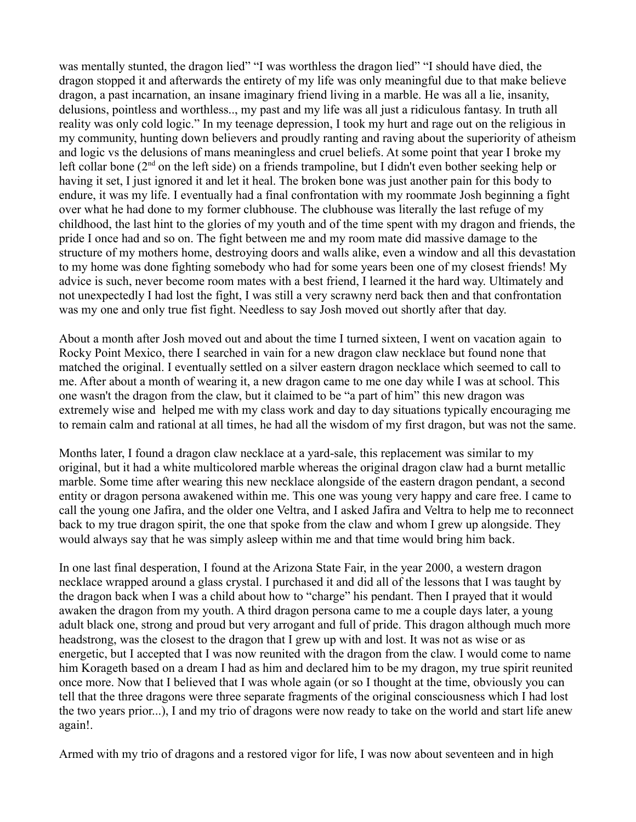was mentally stunted, the dragon lied" "I was worthless the dragon lied" "I should have died, the dragon stopped it and afterwards the entirety of my life was only meaningful due to that make believe dragon, a past incarnation, an insane imaginary friend living in a marble. He was all a lie, insanity, delusions, pointless and worthless.., my past and my life was all just a ridiculous fantasy. In truth all reality was only cold logic." In my teenage depression, I took my hurt and rage out on the religious in my community, hunting down believers and proudly ranting and raving about the superiority of atheism and logic vs the delusions of mans meaningless and cruel beliefs. At some point that year I broke my left collar bone  $(2<sup>nd</sup>$  on the left side) on a friends trampoline, but I didn't even bother seeking help or having it set, I just ignored it and let it heal. The broken bone was just another pain for this body to endure, it was my life. I eventually had a final confrontation with my roommate Josh beginning a fight over what he had done to my former clubhouse. The clubhouse was literally the last refuge of my childhood, the last hint to the glories of my youth and of the time spent with my dragon and friends, the pride I once had and so on. The fight between me and my room mate did massive damage to the structure of my mothers home, destroying doors and walls alike, even a window and all this devastation to my home was done fighting somebody who had for some years been one of my closest friends! My advice is such, never become room mates with a best friend, I learned it the hard way. Ultimately and not unexpectedly I had lost the fight, I was still a very scrawny nerd back then and that confrontation was my one and only true fist fight. Needless to say Josh moved out shortly after that day.

About a month after Josh moved out and about the time I turned sixteen, I went on vacation again to Rocky Point Mexico, there I searched in vain for a new dragon claw necklace but found none that matched the original. I eventually settled on a silver eastern dragon necklace which seemed to call to me. After about a month of wearing it, a new dragon came to me one day while I was at school. This one wasn't the dragon from the claw, but it claimed to be "a part of him" this new dragon was extremely wise and helped me with my class work and day to day situations typically encouraging me to remain calm and rational at all times, he had all the wisdom of my first dragon, but was not the same.

Months later, I found a dragon claw necklace at a yard-sale, this replacement was similar to my original, but it had a white multicolored marble whereas the original dragon claw had a burnt metallic marble. Some time after wearing this new necklace alongside of the eastern dragon pendant, a second entity or dragon persona awakened within me. This one was young very happy and care free. I came to call the young one Jafira, and the older one Veltra, and I asked Jafira and Veltra to help me to reconnect back to my true dragon spirit, the one that spoke from the claw and whom I grew up alongside. They would always say that he was simply asleep within me and that time would bring him back.

In one last final desperation, I found at the Arizona State Fair, in the year 2000, a western dragon necklace wrapped around a glass crystal. I purchased it and did all of the lessons that I was taught by the dragon back when I was a child about how to "charge" his pendant. Then I prayed that it would awaken the dragon from my youth. A third dragon persona came to me a couple days later, a young adult black one, strong and proud but very arrogant and full of pride. This dragon although much more headstrong, was the closest to the dragon that I grew up with and lost. It was not as wise or as energetic, but I accepted that I was now reunited with the dragon from the claw. I would come to name him Korageth based on a dream I had as him and declared him to be my dragon, my true spirit reunited once more. Now that I believed that I was whole again (or so I thought at the time, obviously you can tell that the three dragons were three separate fragments of the original consciousness which I had lost the two years prior...), I and my trio of dragons were now ready to take on the world and start life anew again!.

Armed with my trio of dragons and a restored vigor for life, I was now about seventeen and in high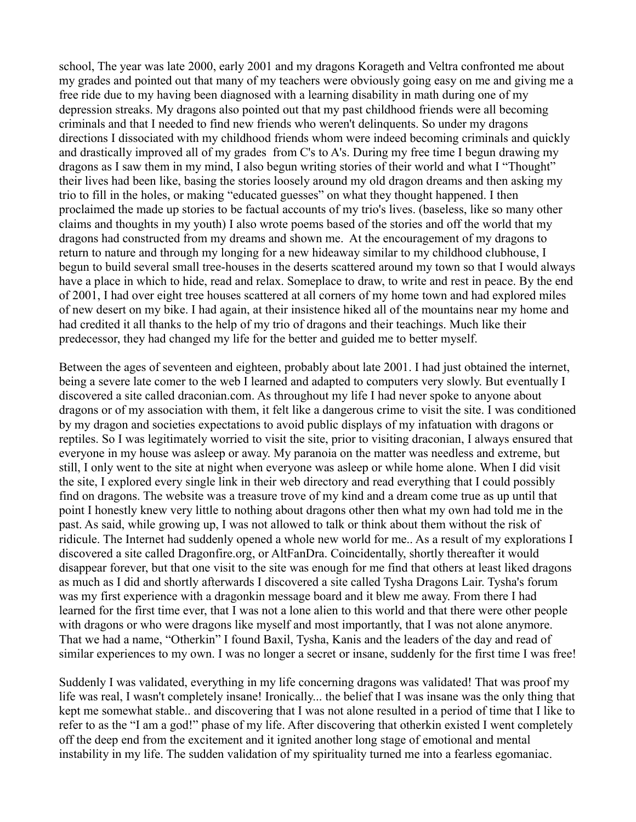school, The year was late 2000, early 2001 and my dragons Korageth and Veltra confronted me about my grades and pointed out that many of my teachers were obviously going easy on me and giving me a free ride due to my having been diagnosed with a learning disability in math during one of my depression streaks. My dragons also pointed out that my past childhood friends were all becoming criminals and that I needed to find new friends who weren't delinquents. So under my dragons directions I dissociated with my childhood friends whom were indeed becoming criminals and quickly and drastically improved all of my grades from C's to A's. During my free time I begun drawing my dragons as I saw them in my mind, I also begun writing stories of their world and what I "Thought" their lives had been like, basing the stories loosely around my old dragon dreams and then asking my trio to fill in the holes, or making "educated guesses" on what they thought happened. I then proclaimed the made up stories to be factual accounts of my trio's lives. (baseless, like so many other claims and thoughts in my youth) I also wrote poems based of the stories and off the world that my dragons had constructed from my dreams and shown me. At the encouragement of my dragons to return to nature and through my longing for a new hideaway similar to my childhood clubhouse, I begun to build several small tree-houses in the deserts scattered around my town so that I would always have a place in which to hide, read and relax. Someplace to draw, to write and rest in peace. By the end of 2001, I had over eight tree houses scattered at all corners of my home town and had explored miles of new desert on my bike. I had again, at their insistence hiked all of the mountains near my home and had credited it all thanks to the help of my trio of dragons and their teachings. Much like their predecessor, they had changed my life for the better and guided me to better myself.

Between the ages of seventeen and eighteen, probably about late 2001. I had just obtained the internet, being a severe late comer to the web I learned and adapted to computers very slowly. But eventually I discovered a site called draconian.com. As throughout my life I had never spoke to anyone about dragons or of my association with them, it felt like a dangerous crime to visit the site. I was conditioned by my dragon and societies expectations to avoid public displays of my infatuation with dragons or reptiles. So I was legitimately worried to visit the site, prior to visiting draconian, I always ensured that everyone in my house was asleep or away. My paranoia on the matter was needless and extreme, but still, I only went to the site at night when everyone was asleep or while home alone. When I did visit the site, I explored every single link in their web directory and read everything that I could possibly find on dragons. The website was a treasure trove of my kind and a dream come true as up until that point I honestly knew very little to nothing about dragons other then what my own had told me in the past. As said, while growing up, I was not allowed to talk or think about them without the risk of ridicule. The Internet had suddenly opened a whole new world for me.. As a result of my explorations I discovered a site called Dragonfire.org, or AltFanDra. Coincidentally, shortly thereafter it would disappear forever, but that one visit to the site was enough for me find that others at least liked dragons as much as I did and shortly afterwards I discovered a site called Tysha Dragons Lair. Tysha's forum was my first experience with a dragonkin message board and it blew me away. From there I had learned for the first time ever, that I was not a lone alien to this world and that there were other people with dragons or who were dragons like myself and most importantly, that I was not alone anymore. That we had a name, "Otherkin" I found Baxil, Tysha, Kanis and the leaders of the day and read of similar experiences to my own. I was no longer a secret or insane, suddenly for the first time I was free!

Suddenly I was validated, everything in my life concerning dragons was validated! That was proof my life was real, I wasn't completely insane! Ironically... the belief that I was insane was the only thing that kept me somewhat stable.. and discovering that I was not alone resulted in a period of time that I like to refer to as the "I am a god!" phase of my life. After discovering that otherkin existed I went completely off the deep end from the excitement and it ignited another long stage of emotional and mental instability in my life. The sudden validation of my spirituality turned me into a fearless egomaniac.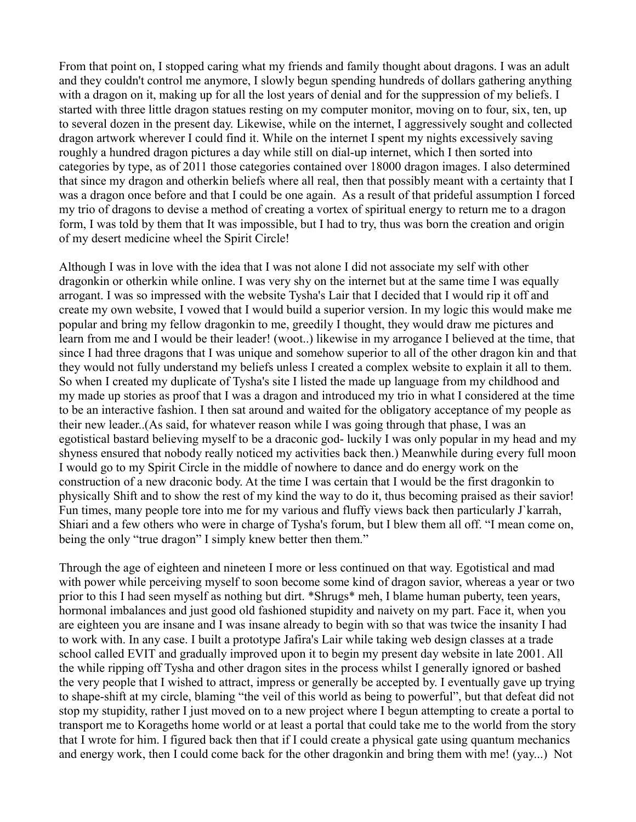From that point on, I stopped caring what my friends and family thought about dragons. I was an adult and they couldn't control me anymore, I slowly begun spending hundreds of dollars gathering anything with a dragon on it, making up for all the lost years of denial and for the suppression of my beliefs. I started with three little dragon statues resting on my computer monitor, moving on to four, six, ten, up to several dozen in the present day. Likewise, while on the internet, I aggressively sought and collected dragon artwork wherever I could find it. While on the internet I spent my nights excessively saving roughly a hundred dragon pictures a day while still on dial-up internet, which I then sorted into categories by type, as of 2011 those categories contained over 18000 dragon images. I also determined that since my dragon and otherkin beliefs where all real, then that possibly meant with a certainty that I was a dragon once before and that I could be one again. As a result of that prideful assumption I forced my trio of dragons to devise a method of creating a vortex of spiritual energy to return me to a dragon form, I was told by them that It was impossible, but I had to try, thus was born the creation and origin of my desert medicine wheel the Spirit Circle!

Although I was in love with the idea that I was not alone I did not associate my self with other dragonkin or otherkin while online. I was very shy on the internet but at the same time I was equally arrogant. I was so impressed with the website Tysha's Lair that I decided that I would rip it off and create my own website, I vowed that I would build a superior version. In my logic this would make me popular and bring my fellow dragonkin to me, greedily I thought, they would draw me pictures and learn from me and I would be their leader! (woot..) likewise in my arrogance I believed at the time, that since I had three dragons that I was unique and somehow superior to all of the other dragon kin and that they would not fully understand my beliefs unless I created a complex website to explain it all to them. So when I created my duplicate of Tysha's site I listed the made up language from my childhood and my made up stories as proof that I was a dragon and introduced my trio in what I considered at the time to be an interactive fashion. I then sat around and waited for the obligatory acceptance of my people as their new leader..(As said, for whatever reason while I was going through that phase, I was an egotistical bastard believing myself to be a draconic god- luckily I was only popular in my head and my shyness ensured that nobody really noticed my activities back then.) Meanwhile during every full moon I would go to my Spirit Circle in the middle of nowhere to dance and do energy work on the construction of a new draconic body. At the time I was certain that I would be the first dragonkin to physically Shift and to show the rest of my kind the way to do it, thus becoming praised as their savior! Fun times, many people tore into me for my various and fluffy views back then particularly J`karrah, Shiari and a few others who were in charge of Tysha's forum, but I blew them all off. "I mean come on, being the only "true dragon" I simply knew better then them."

Through the age of eighteen and nineteen I more or less continued on that way. Egotistical and mad with power while perceiving myself to soon become some kind of dragon savior, whereas a year or two prior to this I had seen myself as nothing but dirt. \*Shrugs\* meh, I blame human puberty, teen years, hormonal imbalances and just good old fashioned stupidity and naivety on my part. Face it, when you are eighteen you are insane and I was insane already to begin with so that was twice the insanity I had to work with. In any case. I built a prototype Jafira's Lair while taking web design classes at a trade school called EVIT and gradually improved upon it to begin my present day website in late 2001. All the while ripping off Tysha and other dragon sites in the process whilst I generally ignored or bashed the very people that I wished to attract, impress or generally be accepted by. I eventually gave up trying to shape-shift at my circle, blaming "the veil of this world as being to powerful", but that defeat did not stop my stupidity, rather I just moved on to a new project where I begun attempting to create a portal to transport me to Korageths home world or at least a portal that could take me to the world from the story that I wrote for him. I figured back then that if I could create a physical gate using quantum mechanics and energy work, then I could come back for the other dragonkin and bring them with me! (yay...) Not